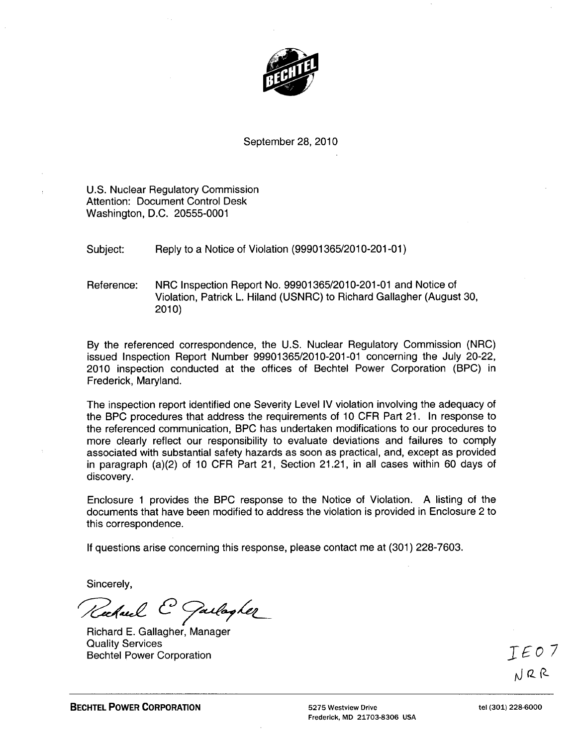

September 28, 2010

U.S. Nuclear Regulatory Commission Attention: Document Control Desk Washington, D.C. 20555-0001

Subject: Reply to a Notice of Violation (99901365/2010-201-01)

Reference: NRC Inspection Report No. 99901365/2010-201-01 and Notice of Violation, Patrick L. Hiland (USNRC) to Richard Gallagher (August 30, 2010)

By the referenced correspondence, the U.S. Nuclear Regulatory Commission (NRC) issued Inspection Report Number 99901365/2010-201-01 concerning the July 20-22, 2010 inspection conducted at the offices of Bechtel Power Corporation (BPC) in Frederick, Maryland.

The inspection report identified one Severity Level IV violation involving the adequacy of the BPC procedures that address the requirements of 10 CFR Part 21. In response to the referenced communication, BPC has undertaken modifications to our procedures to more clearly reflect our responsibility to evaluate deviations and failures to comply associated with substantial safety hazards as soon as practical, and, except as provided in paragraph (a)(2) of 10 CFR Part 21, Section 21.21, in all cases within 60 days of discovery.

Enclosure 1 provides the BPC response to the Notice of Violation. A listing of the documents that have been modified to address the violation is provided in Enclosure 2 to this correspondence.

If questions arise concerning this response, please contact me at (301) 228-7603.

Sincerely,

Rechard C Garlagher

Richard E. Gallagher, Manager Quality Services Bechtel Power Corporation  $\mathcal{I} \not\in \mathcal{O}$   $\mathcal{I}$ 

NRR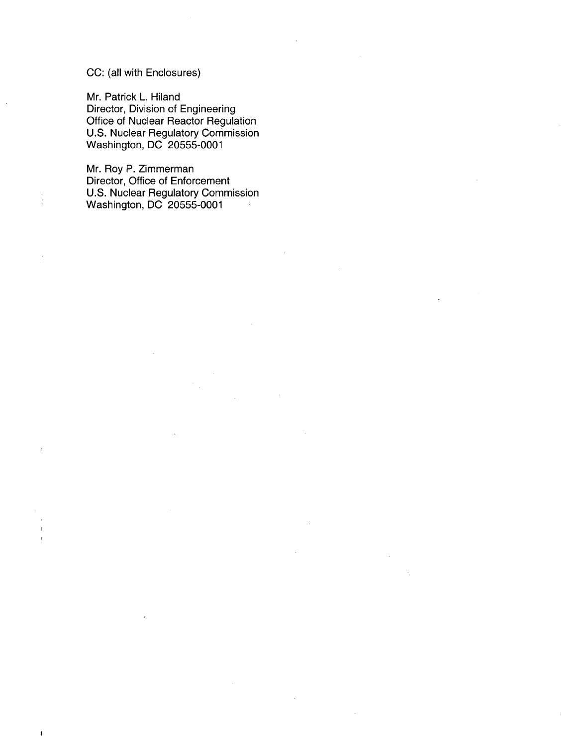## CC: (all with Enclosures)

 $\frac{1}{3}$ 

 $\overline{1}$ 

Mr. Patrick L. Hiland Director, Division of Engineering Office of Nuclear Reactor Regulation U.S. Nuclear Regulatory Commission Washington, DC 20555-0001

Mr. Roy P. Zimmerman Director, Office of Enforcement U.S. Nuclear Regulatory Commission Washington, DC 20555-0001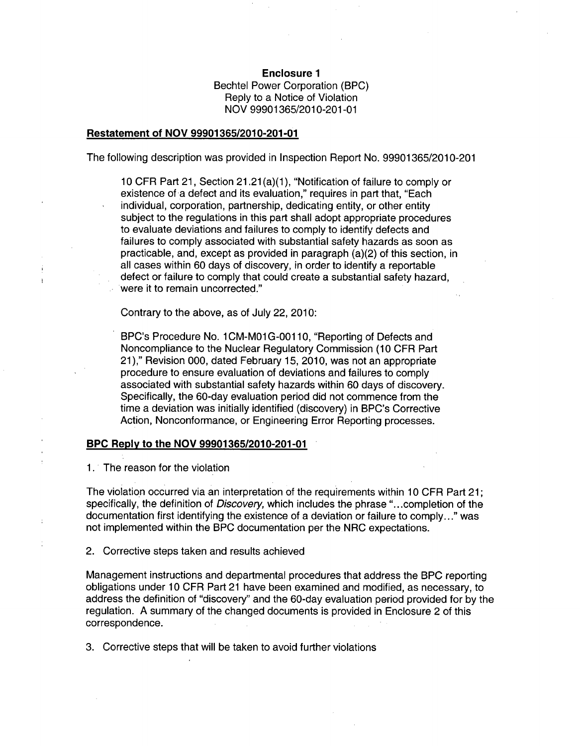Enclosure **1** Bechtel Power Corporation (BPC) Reply to a Notice of Violation NOV 99901365/2010-201 -01

## Restatement of **NOV 99901365/2010-201-01**

The following description was provided in Inspection Report No. 99901365/2010-201

10 CFR Part 21, Section 21.21 (a)(1), "Notification of failure to comply or existence of a defect and its evaluation," requires in part that, "Each individual, corporation, partnership, dedicating entity, or other entity subject to the regulations in this part shall adopt appropriate procedures to evaluate deviations and failures to comply to identify defects and failures to comply associated with substantial safety hazards as soon as practicable, and, except as provided in paragraph (a)(2) of this section, in all cases within 60 days of discovery, in order to identify a reportable defect or failure to comply that could create a substantial safety hazard, were it to remain uncorrected."

Contrary to the above, as of July 22, 2010:

BPC's Procedure No. 1 CM-M01 G-00110, "Reporting of Defects and Noncompliance to the Nuclear Regulatory Commission (10 CFR Part 21)," Revision 000, dated February 15, 2010, was not an appropriate procedure to ensure evaluation of deviations and failures to comply associated with substantial safety hazards within 60 days of discovery. Specifically, the 60-day evaluation period did not commence from the time a deviation was initially identified (discovery) in BPC's Corrective Action, Nonconformance, or Engineering Error Reporting processes.

## BPC Reply to the **NOV 99901365/2010-201-01**

1. The reason for the violation

The violation occurred via an interpretation of the requirements within 10 CFR Part 21; specifically, the definition of *Discovery,* which includes the phrase "...completion of the documentation first identifying the existence of a deviation or failure to comply..." was not implemented within the BPC documentation per the NRC expectations.

2. Corrective steps taken and results achieved

Management instructions and departmental procedures that address the BPC reporting obligations under 10 CFR Part 21 have been examined and modified, as necessary, to address the definition of "discovery" and the 60-day evaluation period provided for by the regulation. A summary of the changed documents is provided in Enclosure 2 of this correspondence.

3. Corrective steps that will be taken to avoid further violations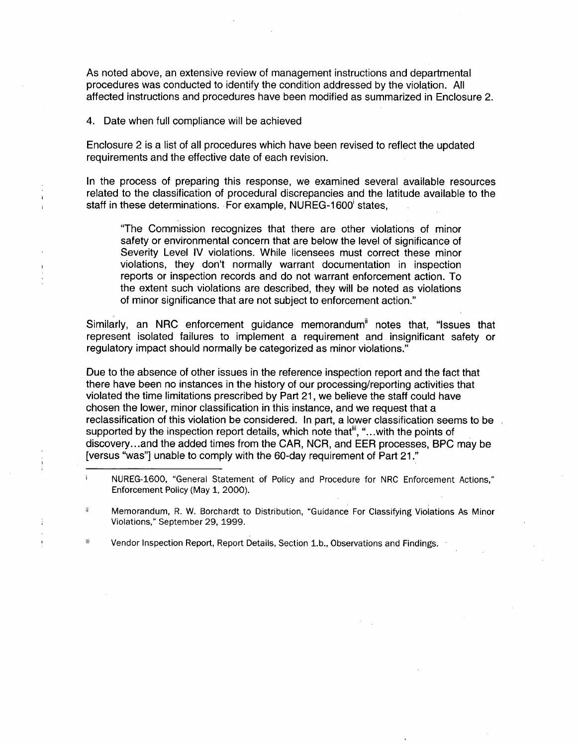As noted above, an extensive review of management instructions and departmental procedures was conducted to identify the condition addressed by the violation. All affected instructions and procedures have been modified as summarized in Enclosure 2.

4. Date when full compliance will be achieved

 $\overline{1}$ 

Enclosure 2 is a list of all procedures which have been revised to reflect the updated requirements and the effective date of each revision.

In the process of preparing this response, we examined several available resources related to the classification of procedural discrepancies and the latitude available to the staff in these determinations. For example, NUREG-1600 states,

"The Commission recognizes that there are other violations of minor safety or environmental concern that are below the level of significance of Severity Level IV violations. While licensees must correct these minor violations, they don't normally warrant documentation in inspection reports or inspection records and do not warrant enforcement action. To the extent such violations are described, they will be noted as violations of minor significance that are not subject to enforcement action."

Similarly, an NRC enforcement guidance memorandum<sup>"</sup> notes that, "Issues that represent isolated failures to implement a requirement and insignificant safety or regulatory impact should normally be categorized as minor violations."

Due to the absence of other issues in the reference inspection report and the fact that there have been no instances in the history of our processing/reporting activities that violated the time limitations prescribed by Part 21, we believe the staff could have chosen the lower, minor classification in this instance, and we request that a reclassification of this violation be considered. In part, a lower classification seems to be supported by the inspection report details, which note that<sup>iii</sup>, "...with the points of discovery.. .and the added times from the CAR, NCR, and EER processes, BPC may be [versus "was"] unable to comply with the 60-day requirement of Part 21."

ii. Memorandum, R. W. Borchardt to Distribution, "Guidance For Classifying Violations As Minor Violations," September 29, 1999.

ili Vendor Inspection Report, Report Details, Section 1.b., Observations and Findings.

 $\mathbf{i}$ NUREG-1600, "General Statement of Policy and Procedure for NRC Enforcement Actions," Enforcement Policy (May 1, 2000).